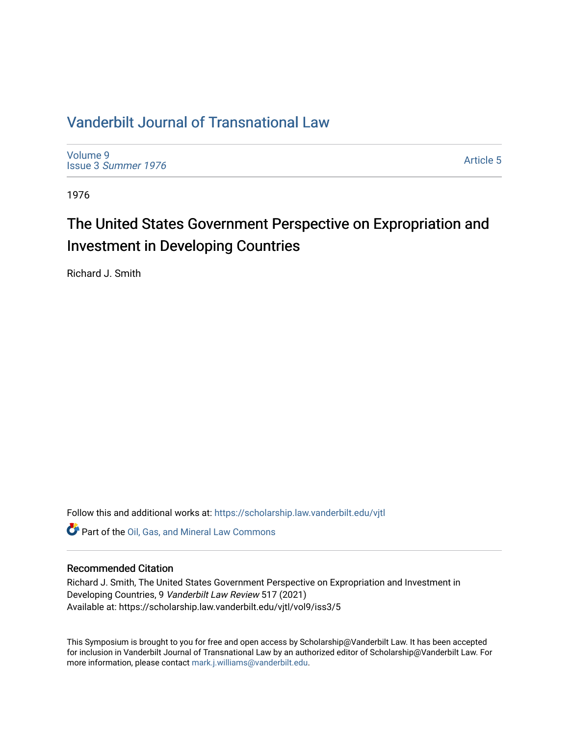## [Vanderbilt Journal of Transnational Law](https://scholarship.law.vanderbilt.edu/vjtl)

[Volume 9](https://scholarship.law.vanderbilt.edu/vjtl/vol9) Issue 3 [Summer 1976](https://scholarship.law.vanderbilt.edu/vjtl/vol9/iss3) 

[Article 5](https://scholarship.law.vanderbilt.edu/vjtl/vol9/iss3/5) 

1976

# The United States Government Perspective on Expropriation and Investment in Developing Countries

Richard J. Smith

Follow this and additional works at: [https://scholarship.law.vanderbilt.edu/vjtl](https://scholarship.law.vanderbilt.edu/vjtl?utm_source=scholarship.law.vanderbilt.edu%2Fvjtl%2Fvol9%2Fiss3%2F5&utm_medium=PDF&utm_campaign=PDFCoverPages) 

Part of the [Oil, Gas, and Mineral Law Commons](https://network.bepress.com/hgg/discipline/864?utm_source=scholarship.law.vanderbilt.edu%2Fvjtl%2Fvol9%2Fiss3%2F5&utm_medium=PDF&utm_campaign=PDFCoverPages) 

### Recommended Citation

Richard J. Smith, The United States Government Perspective on Expropriation and Investment in Developing Countries, 9 Vanderbilt Law Review 517 (2021) Available at: https://scholarship.law.vanderbilt.edu/vjtl/vol9/iss3/5

This Symposium is brought to you for free and open access by Scholarship@Vanderbilt Law. It has been accepted for inclusion in Vanderbilt Journal of Transnational Law by an authorized editor of Scholarship@Vanderbilt Law. For more information, please contact [mark.j.williams@vanderbilt.edu](mailto:mark.j.williams@vanderbilt.edu).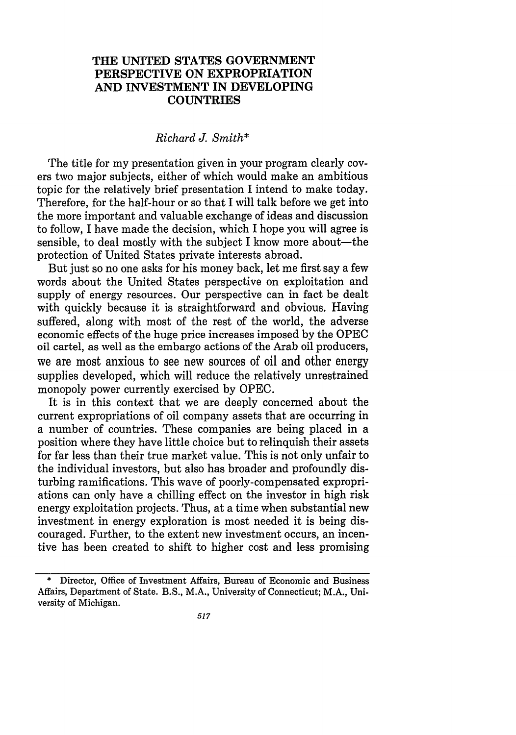#### **THE UNITED STATES GOVERNMENT PERSPECTIVE ON EXPROPRIATION AND INVESTMENT IN DEVELOPING COUNTRIES**

#### *Richard J. Smith\**

The title for my presentation given in your program clearly covers two major subjects, either of which would make an ambitious topic for the relatively brief presentation I intend to make today. Therefore, for the half-hour or so that I will talk before we get into the more important and valuable exchange of ideas and discussion to follow, I have made the decision, which I hope you will agree is sensible, to deal mostly with the subject I know more about—the protection of United States private interests abroad.

But just so no one asks for his money back, let me first say a few words about the United States perspective on exploitation and supply of energy resources. Our perspective can in fact be dealt with quickly because it is straightforward and obvious. Having suffered, along with most of the rest of the world, the adverse economic effects of the huge price increases imposed by the OPEC oil cartel, as well as the embargo actions of the Arab oil producers, we are most anxious to see new sources of oil and other energy supplies developed, which will reduce the relatively unrestrained monopoly power currently exercised by OPEC.

It is in this context that we are deeply concerned about the current expropriations of oil company assets that are occurring in a number of countries. These companies are being placed in a position where they have little choice but to relinquish their assets for far less than their true market value. This is not only unfair to the individual investors, but also has broader and profoundly disturbing ramifications. This wave of poorly-compensated expropriations can only have a chilling effect on the investor in high risk energy exploitation projects. Thus, at a time when substantial new investment in energy exploration is most needed it is being discouraged. Further, to the extent new investment occurs, an incentive has been created to shift to higher cost and less promising

Director, Office of Investment Affairs, Bureau of Economic and Business Affairs, Department of State. B.S., M.A., University of Connecticut; M.A., University of Michigan.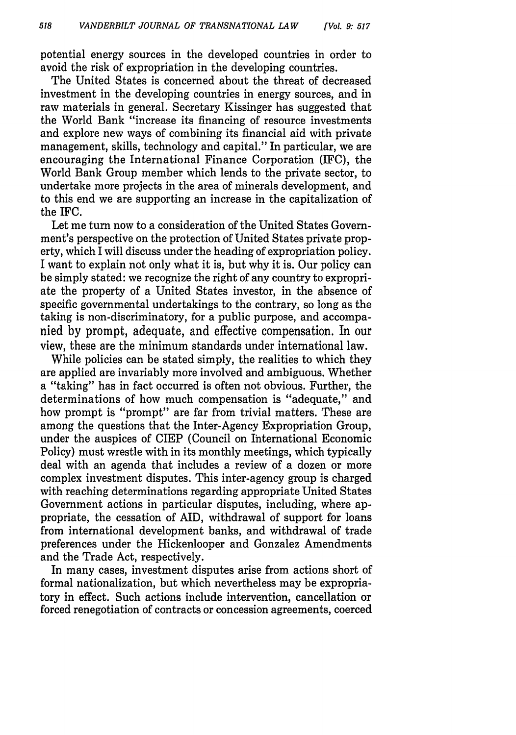potential energy sources in the developed countries in order to avoid the risk of expropriation in the developing countries.

The United States is concerned about the threat of decreased investment in the developing countries in energy sources, and in raw materials in general. Secretary Kissinger has suggested that the World Bank "increase its financing of resource investments and explore new ways of combining its financial aid with private management, skills, technology and capital." In particular, we are encouraging the International Finance Corporation (IFC), the World Bank Group member which lends to the private sector, to undertake more projects in the area of minerals development, and to this end we are supporting an increase in the capitalization of the IFC.

Let me turn now to a consideration of the United States Government's perspective on the protection of United States private property, which I will discuss under the heading of expropriation policy. I want to explain not only what it is, but why it is. Our policy can be simply stated: we recognize the right of any country to expropriate the property of a United States investor, in the absence of specific governmental undertakings to the contrary, so long as the taking is non-discriminatory, for a public purpose, and accompanied by prompt, adequate, and effective compensation. In our view, these are the minimum standards under international law.

While policies can be stated simply, the realities to which they are applied are invariably more involved and ambiguous. Whether a "taking" has in fact occurred is often not obvious. Further, the determinations of how much compensation is "adequate," and how prompt is "prompt" are far from trivial matters. These are among the questions that the Inter-Agency Expropriation Group, under the auspices of CIEP (Council on International Economic Policy) must wrestle with in its monthly meetings, which typically deal with an agenda that includes a review of a dozen or more complex investment disputes. This inter-agency group is charged with reaching determinations regarding appropriate United States Government actions in particular disputes, including, where appropriate, the cessation of AID, withdrawal of support for loans from international development banks, and withdrawal of trade preferences under the Hickenlooper and Gonzalez Amendments and the Trade Act, respectively.

In many cases, investment disputes arise from actions short of formal nationalization, but which nevertheless may be expropriatory in effect. Such actions include intervention, cancellation or forced renegotiation of contracts or concession agreements, coerced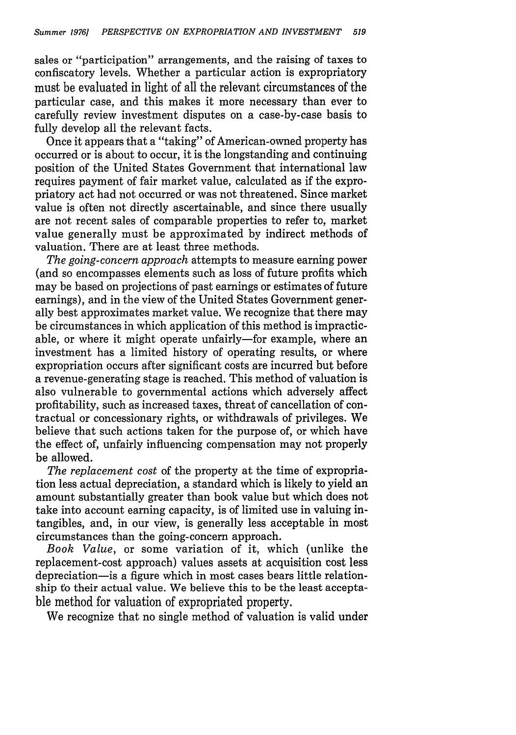sales or "participation" arrangements, and the raising of taxes to confiscatory levels. Whether a particular action is expropriatory must be evaluated in light of all the relevant circumstances of the particular case, and this makes it more necessary than ever to carefully review investment disputes on a case-by-case basis to fully develop all the relevant facts.

Once it appears that a "taking" of American-owned property has occurred or is about to occur, it is the longstanding and continuing position of the United States Government that international law requires payment of fair market value, calculated as if the expropriatory act had not occurred or was not threatened. Since market value is often not directly ascertainable, and since there usually are not recent sales of comparable properties to refer to, market value generally must be approximated by indirect methods of valuation. There are at least three methods.

*The going-concern approach* attempts to measure earning power (and so encompasses elements such as loss of future profits which may be based on projections of past earnings or estimates of future earnings), and in the view of the United States Government generally best approximates market value. We recognize that there may be circumstances in which application of this method is impracticable, or where it might operate unfairly-for example, where an investment has a limited history of operating results, or where expropriation occurs after significant costs are incurred but before a revenue-generating stage is reached. This method of valuation is also vulnerable to governmental actions which adversely affect profitability, such as increased taxes, threat of cancellation of contractual or concessionary rights, or withdrawals of privileges. We believe that such actions taken for the purpose of, or which have the effect of, unfairly influencing compensation may not properly be allowed.

*The replacement cost* of the property at the time of expropriation less actual depreciation, a standard which is likely to yield an amount substantially greater than book value but which does not take into account earning capacity, is of limited use in valuing intangibles, and, in our view, is generally less acceptable in most circumstances than the going-concern approach.

*Book Value,* or some variation of it, which (unlike the replacement-cost approach) values assets at acquisition cost less depreciation-is a figure which in most cases bears little relationship fo their actual value. We believe this to be the least acceptable method for valuation of expropriated property.

We recognize that no single method of valuation is valid under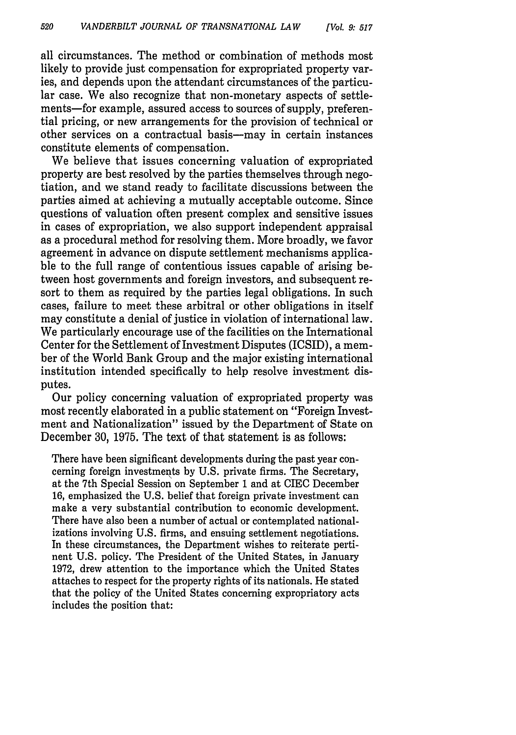all circumstances. The method or combination of methods most likely to provide just compensation for expropriated property varies, and depends upon the attendant circumstances of the particular case. We also recognize that non-monetary aspects of settlements-for example, assured access to sources of supply, preferential pricing, or new arrangements for the provision of technical or other services on a contractual basis-may in certain instances constitute elements of compensation.

We believe that issues concerning valuation of expropriated property are best resolved by the parties themselves through negotiation, and we stand ready to facilitate discussions between the parties aimed at achieving a mutually acceptable outcome. Since questions of valuation often present complex and sensitive issues in cases of expropriation, we also support independent appraisal as a procedural method for resolving them. More broadly, we favor agreement in advance on dispute settlement mechanisms applicable to the full range of contentious issues capable of arising between host governments and foreign investors, and subsequent resort to them as required by the parties legal obligations. In such cases, failure to meet these arbitral or other obligations in itself may constitute a denial of justice in violation of international law. We particularly encourage use of the facilities on the International Center for the Settlement of Investment Disputes (ICSID), a member of the World Bank Group and the major existing international institution intended specifically to help resolve investment disputes.

Our policy concerning valuation of expropriated property was most recently elaborated in a public statement on "Foreign Investment and Nationalization" issued by the Department of State on December 30, 1975. The text of that statement is as follows:

There have been significant developments during the past year concerning foreign investments by U.S. private firms. The Secretary, at the 7th Special Session on September 1 and at CIEC December 16, emphasized the U.S. belief that foreign private investment can make a very substantial contribution to economic development. There have also been a number of actual or contemplated nationalizations involving U.S. firms, and ensuing settlement negotiations. In these circumstances, the Department wishes to reiterate pertinent U.S. policy. The President of the United States, in January 1972, drew attention to the importance which the United States attaches to respect for the property rights of its nationals. He stated that the policy of the United States concerning expropriatory acts includes the position that: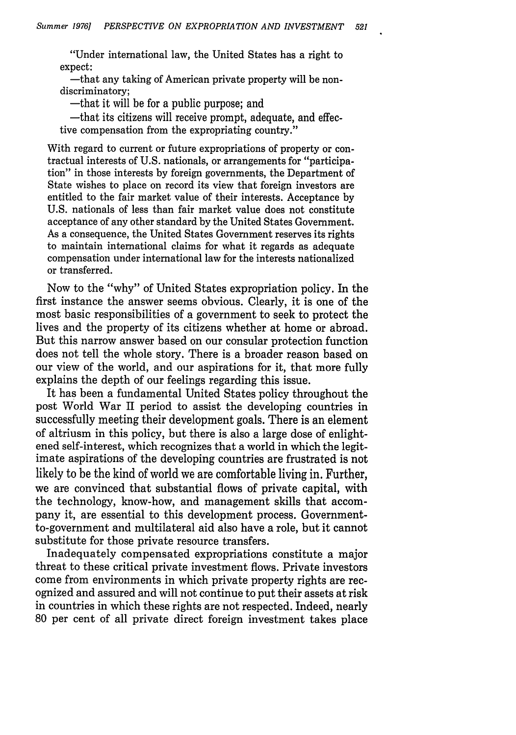"Under international law, the United States has a right to expect:

-that any taking of American private property will be nondiscriminatory;

-that it will be for a public purpose; and

-that its citizens will receive prompt, adequate, and effective compensation from the expropriating country."

With regard to current or future expropriations of property or contractual interests of U.S. nationals, or arrangements for "participation" in those interests by foreign governments, the Department of State wishes to place on record its view that foreign investors are entitled to the fair market value of their interests. Acceptance by U.S. nationals of less than fair market value does not constitute acceptance of any other standard by the United States Government. As a consequence, the United States Government reserves its rights to maintain international claims for what it regards as adequate compensation under international law for the interests nationalized or transferred.

Now to the "why" of United States expropriation policy. In the first instance the answer seems obvious. Clearly, it is one of the most basic responsibilities of a government to seek to protect the lives and the property of its citizens whether at home or abroad. But this narrow answer based on our consular protection function does not tell the whole story. There is a broader reason based on our view of the world, and our aspirations for it, that more fully explains the depth of our feelings regarding this issue.

It has been a fundamental United States policy throughout the post World War II period to assist the developing countries in successfully meeting their development goals. There is an element of altriusm in this policy, but there is also a large dose of enlightened self-interest, which recognizes that a world in which the legitimate aspirations of the developing countries are frustrated is not likely to be the kind of world we are comfortable living in. Further, we are convinced that substantial flows of private capital, with the technology, know-how, and management skills that accompany it, are essential to this development process. Governmentto-government and multilateral aid also have a role, but it cannot substitute for those private resource transfers.

Inadequately compensated expropriations constitute a major threat to these critical private investment flows. Private investors come from environments in which private property rights are recognized and assured and will not continue to put their assets at risk in countries in which these rights are not respected. Indeed, nearly 80 per cent of all private direct foreign investment takes place